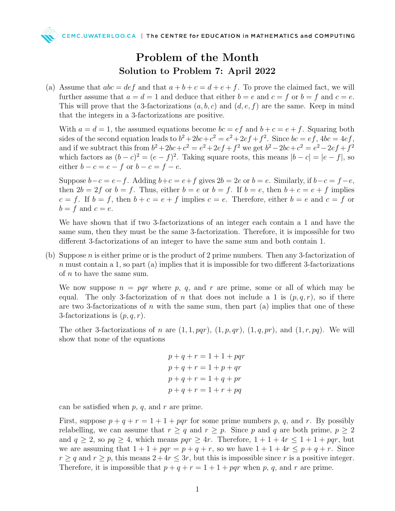

(a) Assume that  $abc = def$  and that  $a + b + c = d + e + f$ . To prove the claimed fact, we will further assume that  $a = d = 1$  and deduce that either  $b = e$  and  $c = f$  or  $b = f$  and  $c = e$ . This will prove that the 3-factorizations  $(a, b, c)$  and  $(d, e, f)$  are the same. Keep in mind that the integers in a 3-factorizations are positive.

With  $a = d = 1$ , the assumed equations become  $bc = ef$  and  $b + c = e + f$ . Squaring both sides of the second equation leads to  $b^2 + 2bc + c^2 = e^2 + 2ef + f^2$ . Since  $bc = ef$ ,  $4bc = 4ef$ , and if we subtract this from  $b^2 + 2bc + c^2 = e^2 + 2ef + f^2$  we get  $b^2 - 2bc + c^2 = e^2 - 2ef + f^2$ which factors as  $(b - c)^2 = (e - f)^2$ . Taking square roots, this means  $|b - c| = |e - f|$ , so either  $b - c = e - f$  or  $b - c = f - e$ .

Suppose  $b-c = e-f$ . Adding  $b+c = e+f$  gives  $2b = 2e$  or  $b = e$ . Similarly, if  $b-c = f-e$ , then  $2b = 2f$  or  $b = f$ . Thus, either  $b = e$  or  $b = f$ . If  $b = e$ , then  $b + c = e + f$  implies  $c = f$ . If  $b = f$ , then  $b + c = e + f$  implies  $c = e$ . Therefore, either  $b = e$  and  $c = f$  or  $b = f$  and  $c = e$ .

We have shown that if two 3-factorizations of an integer each contain a 1 and have the same sum, then they must be the same 3-factorization. Therefore, it is impossible for two different 3-factorizations of an integer to have the same sum and both contain 1.

(b) Suppose n is either prime or is the product of 2 prime numbers. Then any 3-factorization of  $n$  must contain a 1, so part (a) implies that it is impossible for two different 3-factorizations of  $n$  to have the same sum.

We now suppose  $n = pqr$  where p, q, and r are prime, some or all of which may be equal. The only 3-factorization of n that does not include a 1 is  $(p, q, r)$ , so if there are two 3-factorizations of  $n$  with the same sum, then part (a) implies that one of these 3-factorizations is  $(p, q, r)$ .

The other 3-factorizations of n are  $(1, 1, pqr)$ ,  $(1, p, qr)$ ,  $(1, q, pr)$ , and  $(1, r, pq)$ . We will show that none of the equations

```
p + q + r = 1 + 1 + pqrp + q + r = 1 + p + qrp + q + r = 1 + q + prp + q + r = 1 + r + pq
```
can be satisfied when  $p, q$ , and  $r$  are prime.

First, suppose  $p + q + r = 1 + 1 + pqr$  for some prime numbers p, q, and r. By possibly relabelling, we can assume that  $r \geq q$  and  $r \geq p$ . Since p and q are both prime,  $p \geq 2$ and  $q \ge 2$ , so  $pq \ge 4$ , which means  $pqr \ge 4r$ . Therefore,  $1+1+4r \le 1+1+pqr$ , but we are assuming that  $1+1+pqr = p+q+r$ , so we have  $1+1+4r \leq p+q+r$ . Since  $r \geq q$  and  $r \geq p$ , this means  $2 + 4r \leq 3r$ , but this is impossible since r is a positive integer. Therefore, it is impossible that  $p + q + r = 1 + 1 + pqr$  when p, q, and r are prime.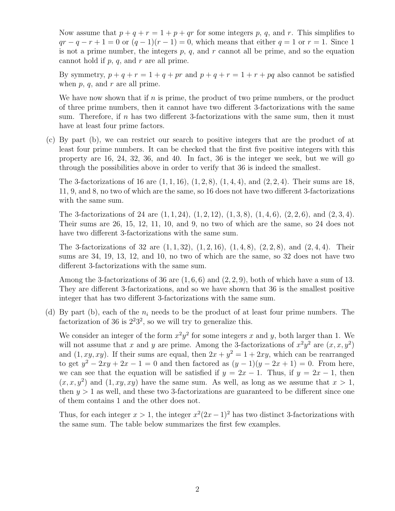Now assume that  $p + q + r = 1 + p + qr$  for some integers p, q, and r. This simplifies to  $qr - q - r + 1 = 0$  or  $(q - 1)(r - 1) = 0$ , which means that either  $q = 1$  or  $r = 1$ . Since 1 is not a prime number, the integers  $p, q$ , and  $r$  cannot all be prime, and so the equation cannot hold if  $p, q$ , and  $r$  are all prime.

By symmetry,  $p + q + r = 1 + q + pr$  and  $p + q + r = 1 + r + pq$  also cannot be satisfied when  $p, q$ , and  $r$  are all prime.

We have now shown that if  $n$  is prime, the product of two prime numbers, or the product of three prime numbers, then it cannot have two different 3-factorizations with the same sum. Therefore, if  $n$  has two different 3-factorizations with the same sum, then it must have at least four prime factors.

(c) By part (b), we can restrict our search to positive integers that are the product of at least four prime numbers. It can be checked that the first five positive integers with this property are 16, 24, 32, 36, and 40. In fact, 36 is the integer we seek, but we will go through the possibilities above in order to verify that 36 is indeed the smallest.

The 3-factorizations of 16 are  $(1, 1, 16)$ ,  $(1, 2, 8)$ ,  $(1, 4, 4)$ , and  $(2, 2, 4)$ . Their sums are 18, 11, 9, and 8, no two of which are the same, so 16 does not have two different 3-factorizations with the same sum.

The 3-factorizations of 24 are  $(1, 1, 24)$ ,  $(1, 2, 12)$ ,  $(1, 3, 8)$ ,  $(1, 4, 6)$ ,  $(2, 2, 6)$ , and  $(2, 3, 4)$ . Their sums are 26, 15, 12, 11, 10, and 9, no two of which are the same, so 24 does not have two different 3-factorizations with the same sum.

The 3-factorizations of 32 are  $(1, 1, 32)$ ,  $(1, 2, 16)$ ,  $(1, 4, 8)$ ,  $(2, 2, 8)$ , and  $(2, 4, 4)$ . Their sums are 34, 19, 13, 12, and 10, no two of which are the same, so 32 does not have two different 3-factorizations with the same sum.

Among the 3-factorizations of 36 are  $(1, 6, 6)$  and  $(2, 2, 9)$ , both of which have a sum of 13. They are different 3-factorizations, and so we have shown that 36 is the smallest positive integer that has two different 3-factorizations with the same sum.

(d) By part (b), each of the  $n_i$  needs to be the product of at least four prime numbers. The factorization of 36 is  $2^2 3^2$ , so we will try to generalize this.

We consider an integer of the form  $x^2y^2$  for some integers x and y, both larger than 1. We will not assume that x and y are prime. Among the 3-factorizations of  $x^2y^2$  are  $(x, x, y^2)$ and  $(1, xy, xy)$ . If their sums are equal, then  $2x + y^2 = 1 + 2xy$ , which can be rearranged to get  $y^2 - 2xy + 2x - 1 = 0$  and then factored as  $(y - 1)(y - 2x + 1) = 0$ . From here, we can see that the equation will be satisfied if  $y = 2x - 1$ . Thus, if  $y = 2x - 1$ , then  $(x, x, y^2)$  and  $(1, xy, xy)$  have the same sum. As well, as long as we assume that  $x > 1$ , then  $y > 1$  as well, and these two 3-factorizations are guaranteed to be different since one of them contains 1 and the other does not.

Thus, for each integer  $x > 1$ , the integer  $x^2(2x-1)^2$  has two distinct 3-factorizations with the same sum. The table below summarizes the first few examples.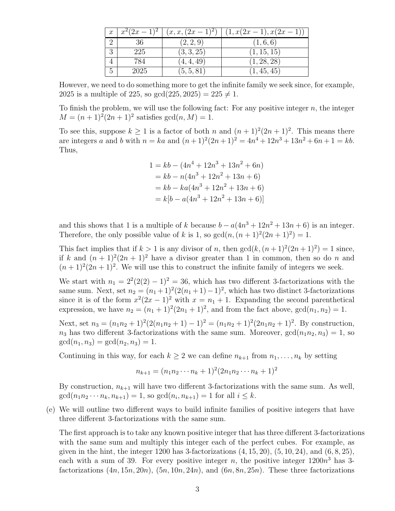|               | $x \mid x^2(2x-1)^2$ | $(x, x, (2x-1)^2)$ | $(1, x(2x-1), x(2x-1))$ |
|---------------|----------------------|--------------------|-------------------------|
|               |                      | (2, 2, 9)          | (1,6,6)                 |
| $\Omega$<br>Ō | 225                  | (3,3,25)           | (1, 15, 15)             |
|               | 784                  | (4, 4, 49)         | (1, 28, 28)             |
| 5             | 2025                 | (5, 5, 81)         | (1, 45, 45)             |

However, we need to do something more to get the infinite family we seek since, for example, 2025 is a multiple of 225, so  $gcd(225, 2025) = 225 \neq 1$ .

To finish the problem, we will use the following fact: For any positive integer  $n$ , the integer  $M = (n+1)^2(2n+1)^2$  satisfies  $gcd(n, M) = 1$ .

To see this, suppose  $k \geq 1$  is a factor of both n and  $(n+1)^2(2n+1)^2$ . This means there are integers a and b with  $n = ka$  and  $(n+1)^2(2n+1)^2 = 4n^4 + 12n^3 + 13n^2 + 6n + 1 = kb$ . Thus,

$$
1 = kb - (4n4 + 12n3 + 13n2 + 6n)
$$
  
= kb - n(4n<sup>3</sup> + 12n<sup>2</sup> + 13n + 6)  
= kb - ka(4n<sup>3</sup> + 12n<sup>2</sup> + 13n + 6)  
= k[b - a(4n<sup>3</sup> + 12n<sup>2</sup> + 13n + 6)]

and this shows that 1 is a multiple of k because  $b - a(4n^3 + 12n^2 + 13n + 6)$  is an integer. Therefore, the only possible value of k is 1, so  $gcd(n,(n+1)^2(2n+1)^2)=1$ .

This fact implies that if  $k > 1$  is any divisor of n, then  $gcd(k, (n + 1)^2(2n + 1)^2) = 1$  since, if k and  $(n + 1)^2(2n + 1)^2$  have a divisor greater than 1 in common, then so do n and  $(n+1)^2(2n+1)^2$ . We will use this to construct the infinite family of integers we seek.

We start with  $n_1 = 2^2(2(2)-1)^2 = 36$ , which has two different 3-factorizations with the same sum. Next, set  $n_2 = (n_1 + 1)^2 (2(n_1 + 1) - 1)^2$ , which has two distinct 3-factorizations since it is of the form  $x^2(2x-1)^2$  with  $x = n_1 + 1$ . Expanding the second parenthetical expression, we have  $n_2 = (n_1 + 1)^2 (2n_1 + 1)^2$ , and from the fact above,  $gcd(n_1, n_2) = 1$ .

Next, set  $n_3 = (n_1n_2+1)^2(2(n_1n_2+1)-1)^2 = (n_1n_2+1)^2(2n_1n_2+1)^2$ . By construction,  $n_3$  has two different 3-factorizations with the same sum. Moreover,  $gcd(n_1n_2, n_3) = 1$ , so  $gcd(n_1, n_3) = gcd(n_2, n_3) = 1.$ 

Continuing in this way, for each  $k \geq 2$  we can define  $n_{k+1}$  from  $n_1, \ldots, n_k$  by setting

$$
n_{k+1} = (n_1 n_2 \cdots n_k + 1)^2 (2n_1 n_2 \cdots n_k + 1)^2
$$

By construction,  $n_{k+1}$  will have two different 3-factorizations with the same sum. As well,  $gcd(n_1 n_2 \cdots n_k, n_{k+1}) = 1$ , so  $gcd(n_i, n_{k+1}) = 1$  for all  $i \leq k$ .

(e) We will outline two different ways to build infinite families of positive integers that have three different 3-factorizations with the same sum.

The first approach is to take any known positive integer that has three different 3-factorizations with the same sum and multiply this integer each of the perfect cubes. For example, as given in the hint, the integer 1200 has 3-factorizations  $(4, 15, 20)$ ,  $(5, 10, 24)$ , and  $(6, 8, 25)$ , each with a sum of 39. For every positive integer n, the positive integer  $1200n^3$  has 3factorizations  $(4n, 15n, 20n)$ ,  $(5n, 10n, 24n)$ , and  $(6n, 8n, 25n)$ . These three factorizations